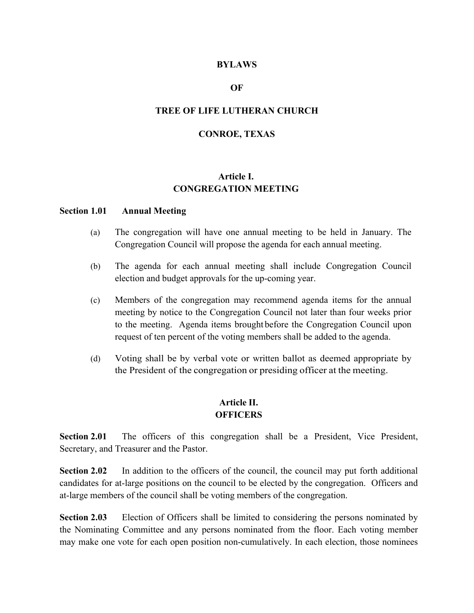### **BYLAWS**

### **OF**

### **TREE OF LIFE LUTHERAN CHURCH**

### **CONROE, TEXAS**

# **Article I. CONGREGATION MEETING**

#### **Section 1.01 Annual Meeting**

- (a) The congregation will have one annual meeting to be held in January. The Congregation Council will propose the agenda for each annual meeting.
- (b) The agenda for each annual meeting shall include Congregation Council election and budget approvals for the up-coming year.
- (c) Members of the congregation may recommend agenda items for the annual meeting by notice to the Congregation Council not later than four weeks prior to the meeting. Agenda items brought before the Congregation Council upon request of ten percent of the voting members shall be added to the agenda.
- (d) Voting shall be by verbal vote or written ballot as deemed appropriate by the President of the congregation or presiding officer at the meeting.

### **Article II. OFFICERS**

**Section 2.01** The officers of this congregation shall be a President, Vice President, Secretary, and Treasurer and the Pastor.

**Section 2.02** In addition to the officers of the council, the council may put forth additional candidates for at-large positions on the council to be elected by the congregation. Officers and at-large members of the council shall be voting members of the congregation.

**Section 2.03** Election of Officers shall be limited to considering the persons nominated by the Nominating Committee and any persons nominated from the floor. Each voting member may make one vote for each open position non-cumulatively. In each election, those nominees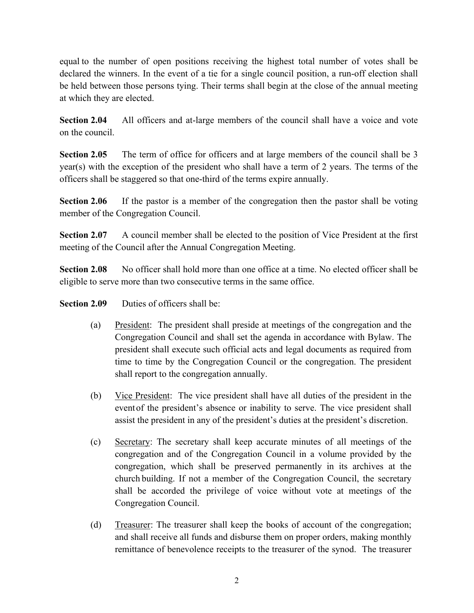equal to the number of open positions receiving the highest total number of votes shall be declared the winners. In the event of a tie for a single council position, a run-off election shall be held between those persons tying. Their terms shall begin at the close of the annual meeting at which they are elected.

**Section 2.04** All officers and at-large members of the council shall have a voice and vote on the council.

**Section 2.05** The term of office for officers and at large members of the council shall be 3 year(s) with the exception of the president who shall have a term of 2 years. The terms of the officers shall be staggered so that one-third of the terms expire annually.

**Section 2.06** If the pastor is a member of the congregation then the pastor shall be voting member of the Congregation Council.

**Section 2.07** A council member shall be elected to the position of Vice President at the first meeting of the Council after the Annual Congregation Meeting.

Section 2.08 No officer shall hold more than one office at a time. No elected officer shall be eligible to serve more than two consecutive terms in the same office.

**Section 2.09** Duties of officers shall be:

- (a) President: The president shall preside at meetings of the congregation and the Congregation Council and shall set the agenda in accordance with Bylaw. The president shall execute such official acts and legal documents as required from time to time by the Congregation Council or the congregation. The president shall report to the congregation annually.
- (b) Vice President: The vice president shall have all duties of the president in the eventof the president's absence or inability to serve. The vice president shall assist the president in any of the president's duties at the president's discretion.
- (c) Secretary: The secretary shall keep accurate minutes of all meetings of the congregation and of the Congregation Council in a volume provided by the congregation, which shall be preserved permanently in its archives at the church building. If not a member of the Congregation Council, the secretary shall be accorded the privilege of voice without vote at meetings of the Congregation Council.
- (d) Treasurer: The treasurer shall keep the books of account of the congregation; and shall receive all funds and disburse them on proper orders, making monthly remittance of benevolence receipts to the treasurer of the synod. The treasurer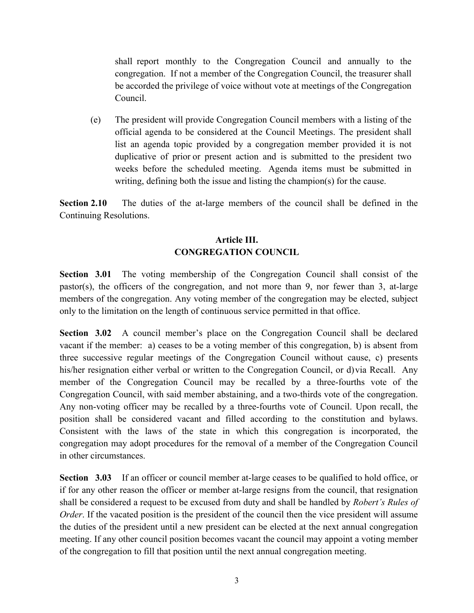shall report monthly to the Congregation Council and annually to the congregation. If not a member of the Congregation Council, the treasurer shall be accorded the privilege of voice without vote at meetings of the Congregation Council.

(e) The president will provide Congregation Council members with a listing of the official agenda to be considered at the Council Meetings. The president shall list an agenda topic provided by a congregation member provided it is not duplicative of prior or present action and is submitted to the president two weeks before the scheduled meeting. Agenda items must be submitted in writing, defining both the issue and listing the champion(s) for the cause.

**Section 2.10** The duties of the at-large members of the council shall be defined in the Continuing Resolutions.

# **Article III. CONGREGATION COUNCIL**

**Section 3.01** The voting membership of the Congregation Council shall consist of the pastor(s), the officers of the congregation, and not more than 9, nor fewer than 3, at-large members of the congregation. Any voting member of the congregation may be elected, subject only to the limitation on the length of continuous service permitted in that office.

**Section 3.02** A council member's place on the Congregation Council shall be declared vacant if the member: a) ceases to be a voting member of this congregation, b) is absent from three successive regular meetings of the Congregation Council without cause, c) presents his/her resignation either verbal or written to the Congregation Council, or d) via Recall. Any member of the Congregation Council may be recalled by a three-fourths vote of the Congregation Council, with said member abstaining, and a two-thirds vote of the congregation. Any non-voting officer may be recalled by a three-fourths vote of Council. Upon recall, the position shall be considered vacant and filled according to the constitution and bylaws. Consistent with the laws of the state in which this congregation is incorporated, the congregation may adopt procedures for the removal of a member of the Congregation Council in other circumstances.

**Section 3.03** If an officer or council member at-large ceases to be qualified to hold office, or if for any other reason the officer or member at-large resigns from the council, that resignation shall be considered a request to be excused from duty and shall be handled by *Robert's Rules of Order*. If the vacated position is the president of the council then the vice president will assume the duties of the president until a new president can be elected at the next annual congregation meeting. If any other council position becomes vacant the council may appoint a voting member of the congregation to fill that position until the next annual congregation meeting.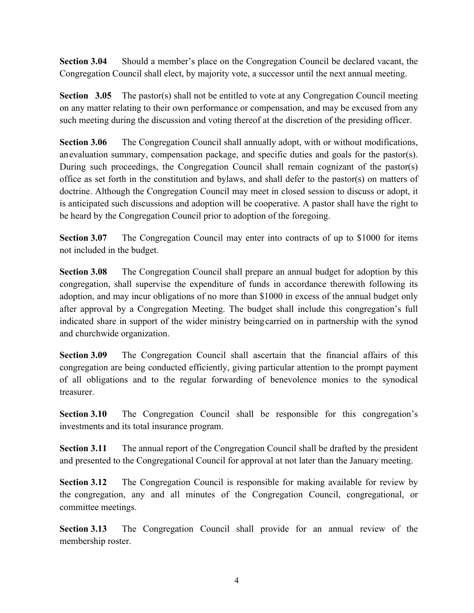**Section 3.04** Should a member's place on the Congregation Council be declared vacant, the Congregation Council shall elect, by majority vote, a successor until the next annual meeting.

**Section 3.05** The pastor(s) shall not be entitled to vote at any Congregation Council meeting on any matter relating to their own performance or compensation, and may be excused from any such meeting during the discussion and voting thereof at the discretion of the presiding officer.

**Section 3.06** The Congregation Council shall annually adopt, with or without modifications, anevaluation summary, compensation package, and specific duties and goals for the pastor(s). During such proceedings, the Congregation Council shall remain cognizant of the pastor(s) office as set forth in the constitution and bylaws, and shall defer to the pastor(s) on matters of doctrine. Although the Congregation Council may meet in closed session to discuss or adopt, it is anticipated such discussions and adoption will be cooperative. A pastor shall have the right to be heard by the Congregation Council prior to adoption of the foregoing.

**Section 3.07** The Congregation Council may enter into contracts of up to \$1000 for items not included in the budget.

**Section 3.08** The Congregation Council shall prepare an annual budget for adoption by this congregation, shall supervise the expenditure of funds in accordance therewith following its adoption, and may incur obligations of no more than \$1000 in excess of the annual budget only after approval by a Congregation Meeting. The budget shall include this congregation's full indicated share in support of the wider ministry beingcarried on in partnership with the synod and churchwide organization.

**Section 3.09** The Congregation Council shall ascertain that the financial affairs of this congregation are being conducted efficiently, giving particular attention to the prompt payment of all obligations and to the regular forwarding of benevolence monies to the synodical treasurer.

**Section 3.10** The Congregation Council shall be responsible for this congregation's investments and its total insurance program.

**Section 3.11** The annual report of the Congregation Council shall be drafted by the president and presented to the Congregational Council for approval at not later than the January meeting.

**Section 3.12** The Congregation Council is responsible for making available for review by the congregation, any and all minutes of the Congregation Council, congregational, or committee meetings.

**Section 3.13** The Congregation Council shall provide for an annual review of the membership roster.